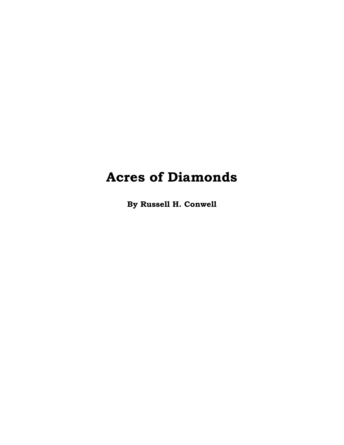**By Russell H. Conwell**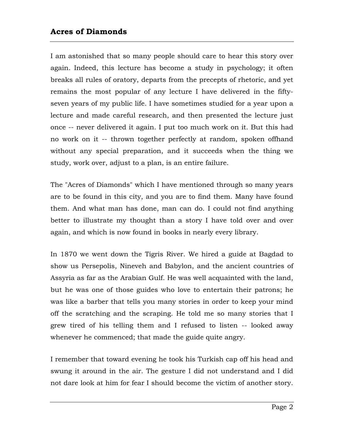I am astonished that so many people should care to hear this story over again. Indeed, this lecture has become a study in psychology; it often breaks all rules of oratory, departs from the precepts of rhetoric, and yet remains the most popular of any lecture I have delivered in the fiftyseven years of my public life. I have sometimes studied for a year upon a lecture and made careful research, and then presented the lecture just once -- never delivered it again. I put too much work on it. But this had no work on it -- thrown together perfectly at random, spoken offhand without any special preparation, and it succeeds when the thing we study, work over, adjust to a plan, is an entire failure.

The "Acres of Diamonds" which I have mentioned through so many years are to be found in this city, and you are to find them. Many have found them. And what man has done, man can do. I could not find anything better to illustrate my thought than a story I have told over and over again, and which is now found in books in nearly every library.

In 1870 we went down the Tigris River. We hired a guide at Bagdad to show us Persepolis, Nineveh and Babylon, and the ancient countries of Assyria as far as the Arabian Gulf. He was well acquainted with the land, but he was one of those guides who love to entertain their patrons; he was like a barber that tells you many stories in order to keep your mind off the scratching and the scraping. He told me so many stories that I grew tired of his telling them and I refused to listen -- looked away whenever he commenced; that made the guide quite angry.

I remember that toward evening he took his Turkish cap off his head and swung it around in the air. The gesture I did not understand and I did not dare look at him for fear I should become the victim of another story.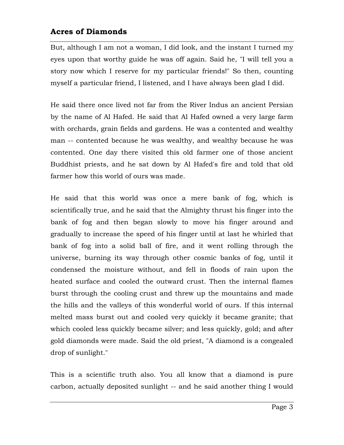But, although I am not a woman, I did look, and the instant I turned my eyes upon that worthy guide he was off again. Said he, "I will tell you a story now which I reserve for my particular friends!" So then, counting myself a particular friend, I listened, and I have always been glad I did.

He said there once lived not far from the River Indus an ancient Persian by the name of Al Hafed. He said that Al Hafed owned a very large farm with orchards, grain fields and gardens. He was a contented and wealthy man -- contented because he was wealthy, and wealthy because he was contented. One day there visited this old farmer one of those ancient Buddhist priests, and he sat down by Al Hafed's fire and told that old farmer how this world of ours was made.

He said that this world was once a mere bank of fog, which is scientifically true, and he said that the Almighty thrust his finger into the bank of fog and then began slowly to move his finger around and gradually to increase the speed of his finger until at last he whirled that bank of fog into a solid ball of fire, and it went rolling through the universe, burning its way through other cosmic banks of fog, until it condensed the moisture without, and fell in floods of rain upon the heated surface and cooled the outward crust. Then the internal flames burst through the cooling crust and threw up the mountains and made the hills and the valleys of this wonderful world of ours. If this internal melted mass burst out and cooled very quickly it became granite; that which cooled less quickly became silver; and less quickly, gold; and after gold diamonds were made. Said the old priest, "A diamond is a congealed drop of sunlight."

This is a scientific truth also. You all know that a diamond is pure carbon, actually deposited sunlight -- and he said another thing I would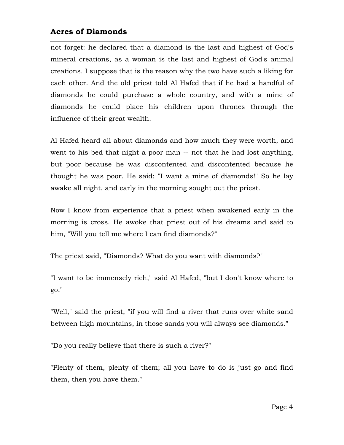not forget: he declared that a diamond is the last and highest of God's mineral creations, as a woman is the last and highest of God's animal creations. I suppose that is the reason why the two have such a liking for each other. And the old priest told Al Hafed that if he had a handful of diamonds he could purchase a whole country, and with a mine of diamonds he could place his children upon thrones through the influence of their great wealth.

Al Hafed heard all about diamonds and how much they were worth, and went to his bed that night a poor man -- not that he had lost anything, but poor because he was discontented and discontented because he thought he was poor. He said: "I want a mine of diamonds!" So he lay awake all night, and early in the morning sought out the priest.

Now I know from experience that a priest when awakened early in the morning is cross. He awoke that priest out of his dreams and said to him, "Will you tell me where I can find diamonds?"

The priest said, "Diamonds? What do you want with diamonds?"

"I want to be immensely rich," said Al Hafed, "but I don't know where to go."

"Well," said the priest, "if you will find a river that runs over white sand between high mountains, in those sands you will always see diamonds."

"Do you really believe that there is such a river?"

"Plenty of them, plenty of them; all you have to do is just go and find them, then you have them."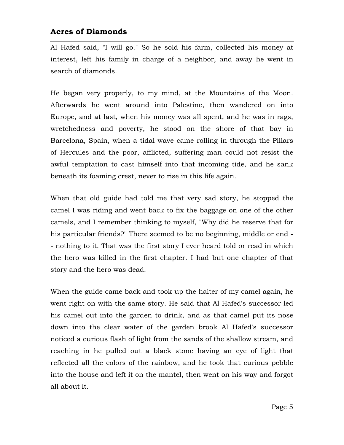Al Hafed said, "I will go." So he sold his farm, collected his money at interest, left his family in charge of a neighbor, and away he went in search of diamonds.

He began very properly, to my mind, at the Mountains of the Moon. Afterwards he went around into Palestine, then wandered on into Europe, and at last, when his money was all spent, and he was in rags, wretchedness and poverty, he stood on the shore of that bay in Barcelona, Spain, when a tidal wave came rolling in through the Pillars of Hercules and the poor, afflicted, suffering man could not resist the awful temptation to cast himself into that incoming tide, and he sank beneath its foaming crest, never to rise in this life again.

When that old guide had told me that very sad story, he stopped the camel I was riding and went back to fix the baggage on one of the other camels, and I remember thinking to myself, "Why did he reserve that for his particular friends?" There seemed to be no beginning, middle or end - - nothing to it. That was the first story I ever heard told or read in which the hero was killed in the first chapter. I had but one chapter of that story and the hero was dead.

When the guide came back and took up the halter of my camel again, he went right on with the same story. He said that Al Hafed's successor led his camel out into the garden to drink, and as that camel put its nose down into the clear water of the garden brook Al Hafed's successor noticed a curious flash of light from the sands of the shallow stream, and reaching in he pulled out a black stone having an eye of light that reflected all the colors of the rainbow, and he took that curious pebble into the house and left it on the mantel, then went on his way and forgot all about it.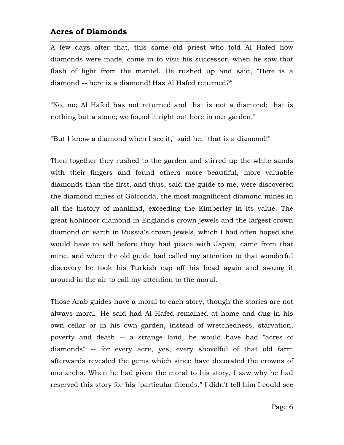A few days after that, this same old priest who told Al Hafed how diamonds were made, came in to visit his successor, when he saw that flash of light from the mantel. He rushed up and said, "Here is a diamond -- here is a diamond! Has Al Hafed returned?"

"No, no; Al Hafed has not returned and that is not a diamond; that is nothing but a stone; we found it right out here in our garden."

"But I know a diamond when I see it," said he; "that is a diamond!"

Then together they rushed to the garden and stirred up the white sands with their fingers and found others more beautiful, more valuable diamonds than the first, and thus, said the guide to me, were discovered the diamond mines of Golconda, the most magnificent diamond mines in all the history of mankind, exceeding the Kimberley in its value. The great Kohinoor diamond in England's crown jewels and the largest crown diamond on earth in Russia's crown jewels, which I had often hoped she would have to sell before they had peace with Japan, came from that mine, and when the old guide had called my attention to that wonderful discovery he took his Turkish cap off his head again and swung it around in the air to call my attention to the moral.

Those Arab guides have a moral to each story, though the stories are not always moral. He said had Al Hafed remained at home and dug in his own cellar or in his own garden, instead of wretchedness, starvation, poverty and death -- a strange land, he would have had "acres of diamonds" -- for every acre, yes, every shovelful of that old farm afterwards revealed the gems which since have decorated the crowns of monarchs. When he had given the moral to his story, I saw why he had reserved this story for his "particular friends." I didn't tell him I could see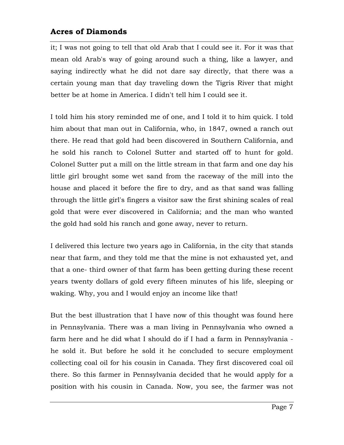it; I was not going to tell that old Arab that I could see it. For it was that mean old Arab's way of going around such a thing, like a lawyer, and saying indirectly what he did not dare say directly, that there was a certain young man that day traveling down the Tigris River that might better be at home in America. I didn't tell him I could see it.

I told him his story reminded me of one, and I told it to him quick. I told him about that man out in California, who, in 1847, owned a ranch out there. He read that gold had been discovered in Southern California, and he sold his ranch to Colonel Sutter and started off to hunt for gold. Colonel Sutter put a mill on the little stream in that farm and one day his little girl brought some wet sand from the raceway of the mill into the house and placed it before the fire to dry, and as that sand was falling through the little girl's fingers a visitor saw the first shining scales of real gold that were ever discovered in California; and the man who wanted the gold had sold his ranch and gone away, never to return.

I delivered this lecture two years ago in California, in the city that stands near that farm, and they told me that the mine is not exhausted yet, and that a one- third owner of that farm has been getting during these recent years twenty dollars of gold every fifteen minutes of his life, sleeping or waking. Why, you and I would enjoy an income like that!

But the best illustration that I have now of this thought was found here in Pennsylvania. There was a man living in Pennsylvania who owned a farm here and he did what I should do if I had a farm in Pennsylvania he sold it. But before he sold it he concluded to secure employment collecting coal oil for his cousin in Canada. They first discovered coal oil there. So this farmer in Pennsylvania decided that he would apply for a position with his cousin in Canada. Now, you see, the farmer was not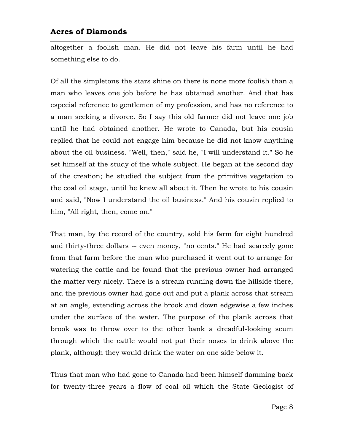altogether a foolish man. He did not leave his farm until he had something else to do.

Of all the simpletons the stars shine on there is none more foolish than a man who leaves one job before he has obtained another. And that has especial reference to gentlemen of my profession, and has no reference to a man seeking a divorce. So I say this old farmer did not leave one job until he had obtained another. He wrote to Canada, but his cousin replied that he could not engage him because he did not know anything about the oil business. "Well, then," said he, "I will understand it." So he set himself at the study of the whole subject. He began at the second day of the creation; he studied the subject from the primitive vegetation to the coal oil stage, until he knew all about it. Then he wrote to his cousin and said, "Now I understand the oil business." And his cousin replied to him, "All right, then, come on."

That man, by the record of the country, sold his farm for eight hundred and thirty-three dollars -- even money, "no cents." He had scarcely gone from that farm before the man who purchased it went out to arrange for watering the cattle and he found that the previous owner had arranged the matter very nicely. There is a stream running down the hillside there, and the previous owner had gone out and put a plank across that stream at an angle, extending across the brook and down edgewise a few inches under the surface of the water. The purpose of the plank across that brook was to throw over to the other bank a dreadful-looking scum through which the cattle would not put their noses to drink above the plank, although they would drink the water on one side below it.

Thus that man who had gone to Canada had been himself damming back for twenty-three years a flow of coal oil which the State Geologist of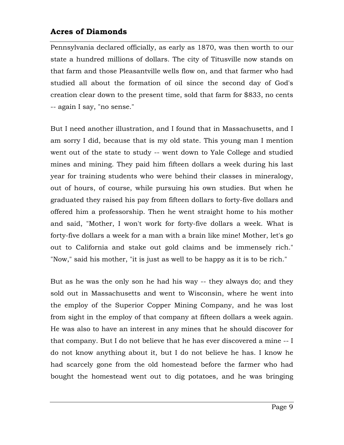Pennsylvania declared officially, as early as 1870, was then worth to our state a hundred millions of dollars. The city of Titusville now stands on that farm and those Pleasantville wells flow on, and that farmer who had studied all about the formation of oil since the second day of God's creation clear down to the present time, sold that farm for \$833, no cents -- again I say, "no sense."

But I need another illustration, and I found that in Massachusetts, and I am sorry I did, because that is my old state. This young man I mention went out of the state to study -- went down to Yale College and studied mines and mining. They paid him fifteen dollars a week during his last year for training students who were behind their classes in mineralogy, out of hours, of course, while pursuing his own studies. But when he graduated they raised his pay from fifteen dollars to forty-five dollars and offered him a professorship. Then he went straight home to his mother and said, "Mother, I won't work for forty-five dollars a week. What is forty-five dollars a week for a man with a brain like mine! Mother, let's go out to California and stake out gold claims and be immensely rich." "Now," said his mother, "it is just as well to be happy as it is to be rich."

But as he was the only son he had his way -- they always do; and they sold out in Massachusetts and went to Wisconsin, where he went into the employ of the Superior Copper Mining Company, and he was lost from sight in the employ of that company at fifteen dollars a week again. He was also to have an interest in any mines that he should discover for that company. But I do not believe that he has ever discovered a mine -- I do not know anything about it, but I do not believe he has. I know he had scarcely gone from the old homestead before the farmer who had bought the homestead went out to dig potatoes, and he was bringing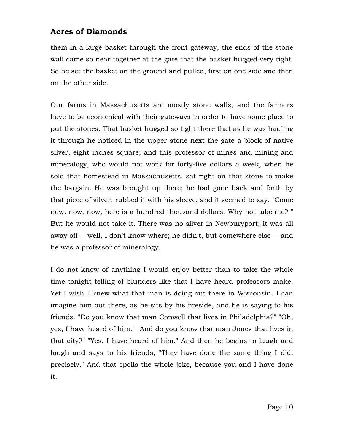them in a large basket through the front gateway, the ends of the stone wall came so near together at the gate that the basket hugged very tight. So he set the basket on the ground and pulled, first on one side and then on the other side.

Our farms in Massachusetts are mostly stone walls, and the farmers have to be economical with their gateways in order to have some place to put the stones. That basket hugged so tight there that as he was hauling it through he noticed in the upper stone next the gate a block of native silver, eight inches square; and this professor of mines and mining and mineralogy, who would not work for forty-five dollars a week, when he sold that homestead in Massachusetts, sat right on that stone to make the bargain. He was brought up there; he had gone back and forth by that piece of silver, rubbed it with his sleeve, and it seemed to say, "Come now, now, now, here is a hundred thousand dollars. Why not take me? " But he would not take it. There was no silver in Newburyport; it was all away off -- well, I don't know where; he didn't, but somewhere else -- and he was a professor of mineralogy.

I do not know of anything I would enjoy better than to take the whole time tonight telling of blunders like that I have heard professors make. Yet I wish I knew what that man is doing out there in Wisconsin. I can imagine him out there, as he sits by his fireside, and he is saying to his friends. "Do you know that man Conwell that lives in Philadelphia?" "Oh, yes, I have heard of him." "And do you know that man Jones that lives in that city?" "Yes, I have heard of him." And then he begins to laugh and laugh and says to his friends, "They have done the same thing I did, precisely." And that spoils the whole joke, because you and I have done it.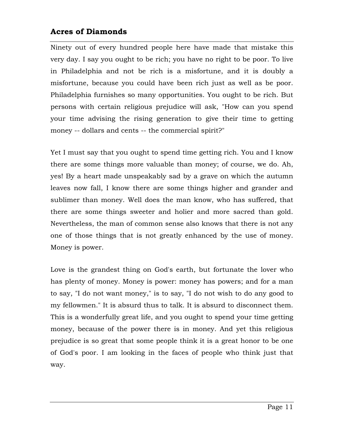Ninety out of every hundred people here have made that mistake this very day. I say you ought to be rich; you have no right to be poor. To live in Philadelphia and not be rich is a misfortune, and it is doubly a misfortune, because you could have been rich just as well as be poor. Philadelphia furnishes so many opportunities. You ought to be rich. But persons with certain religious prejudice will ask, "How can you spend your time advising the rising generation to give their time to getting money -- dollars and cents -- the commercial spirit?"

Yet I must say that you ought to spend time getting rich. You and I know there are some things more valuable than money; of course, we do. Ah, yes! By a heart made unspeakably sad by a grave on which the autumn leaves now fall, I know there are some things higher and grander and sublimer than money. Well does the man know, who has suffered, that there are some things sweeter and holier and more sacred than gold. Nevertheless, the man of common sense also knows that there is not any one of those things that is not greatly enhanced by the use of money. Money is power.

Love is the grandest thing on God's earth, but fortunate the lover who has plenty of money. Money is power: money has powers; and for a man to say, "I do not want money," is to say, "I do not wish to do any good to my fellowmen." It is absurd thus to talk. It is absurd to disconnect them. This is a wonderfully great life, and you ought to spend your time getting money, because of the power there is in money. And yet this religious prejudice is so great that some people think it is a great honor to be one of God's poor. I am looking in the faces of people who think just that way.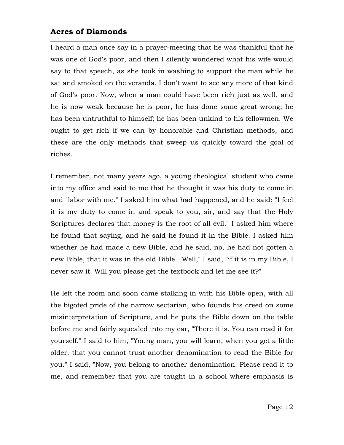I heard a man once say in a prayer-meeting that he was thankful that he was one of God's poor, and then I silently wondered what his wife would say to that speech, as she took in washing to support the man while he sat and smoked on the veranda. I don't want to see any more of that kind of God's poor. Now, when a man could have been rich just as well, and he is now weak because he is poor, he has done some great wrong; he has been untruthful to himself; he has been unkind to his fellowmen. We ought to get rich if we can by honorable and Christian methods, and these are the only methods that sweep us quickly toward the goal of riches.

I remember, not many years ago, a young theological student who came into my office and said to me that he thought it was his duty to come in and "labor with me." I asked him what had happened, and he said: "I feel it is my duty to come in and speak to you, sir, and say that the Holy Scriptures declares that money is the root of all evil." I asked him where he found that saying, and he said he found it in the Bible. I asked him whether he had made a new Bible, and he said, no, he had not gotten a new Bible, that it was in the old Bible. "Well," I said, "if it is in my Bible, I never saw it. Will you please get the textbook and let me see it?"

He left the room and soon came stalking in with his Bible open, with all the bigoted pride of the narrow sectarian, who founds his creed on some misinterpretation of Scripture, and he puts the Bible down on the table before me and fairly squealed into my ear, "There it is. You can read it for yourself." I said to him, "Young man, you will learn, when you get a little older, that you cannot trust another denomination to read the Bible for you." I said, "Now, you belong to another denomination. Please read it to me, and remember that you are taught in a school where emphasis is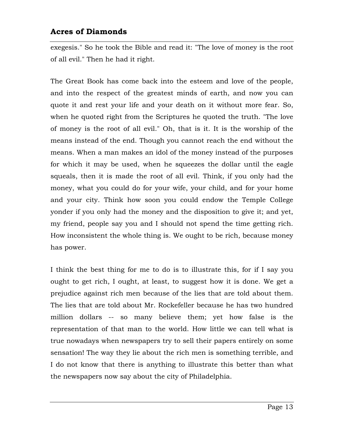exegesis." So he took the Bible and read it: "The love of money is the root of all evil." Then he had it right.

The Great Book has come back into the esteem and love of the people, and into the respect of the greatest minds of earth, and now you can quote it and rest your life and your death on it without more fear. So, when he quoted right from the Scriptures he quoted the truth. "The love of money is the root of all evil." Oh, that is it. It is the worship of the means instead of the end. Though you cannot reach the end without the means. When a man makes an idol of the money instead of the purposes for which it may be used, when he squeezes the dollar until the eagle squeals, then it is made the root of all evil. Think, if you only had the money, what you could do for your wife, your child, and for your home and your city. Think how soon you could endow the Temple College yonder if you only had the money and the disposition to give it; and yet, my friend, people say you and I should not spend the time getting rich. How inconsistent the whole thing is. We ought to be rich, because money has power.

I think the best thing for me to do is to illustrate this, for if I say you ought to get rich, I ought, at least, to suggest how it is done. We get a prejudice against rich men because of the lies that are told about them. The lies that are told about Mr. Rockefeller because he has two hundred million dollars -- so many believe them; yet how false is the representation of that man to the world. How little we can tell what is true nowadays when newspapers try to sell their papers entirely on some sensation! The way they lie about the rich men is something terrible, and I do not know that there is anything to illustrate this better than what the newspapers now say about the city of Philadelphia.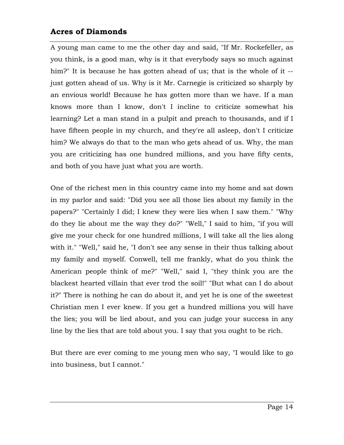A young man came to me the other day and said, "If Mr. Rockefeller, as you think, is a good man, why is it that everybody says so much against him?" It is because he has gotten ahead of us; that is the whole of it - just gotten ahead of us. Why is it Mr. Carnegie is criticized so sharply by an envious world! Because he has gotten more than we have. If a man knows more than I know, don't I incline to criticize somewhat his learning? Let a man stand in a pulpit and preach to thousands, and if I have fifteen people in my church, and they're all asleep, don't I criticize him? We always do that to the man who gets ahead of us. Why, the man you are criticizing has one hundred millions, and you have fifty cents, and both of you have just what you are worth.

One of the richest men in this country came into my home and sat down in my parlor and said: "Did you see all those lies about my family in the papers?" "Certainly I did; I knew they were lies when I saw them." "Why do they lie about me the way they do?" "Well," I said to him, "if you will give me your check for one hundred millions, I will take all the lies along with it." "Well," said he, "I don't see any sense in their thus talking about my family and myself. Conwell, tell me frankly, what do you think the American people think of me?" "Well," said I, "they think you are the blackest hearted villain that ever trod the soil!" "But what can I do about it?" There is nothing he can do about it, and yet he is one of the sweetest Christian men I ever knew. If you get a hundred millions you will have the lies; you will be lied about, and you can judge your success in any line by the lies that are told about you. I say that you ought to be rich.

But there are ever coming to me young men who say, "I would like to go into business, but I cannot."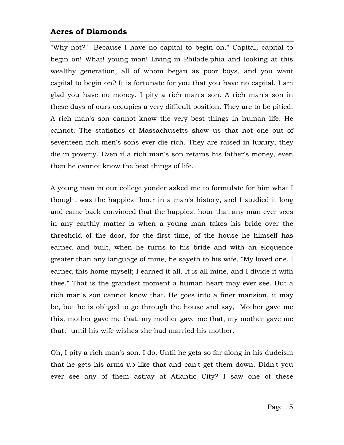"Why not?" "Because I have no capital to begin on." Capital, capital to begin on! What! young man! Living in Philadelphia and looking at this wealthy generation, all of whom began as poor boys, and you want capital to begin on? It is fortunate for you that you have no capital. I am glad you have no money. I pity a rich man's son. A rich man's son in these days of ours occupies a very difficult position. They are to be pitied. A rich man's son cannot know the very best things in human life. He cannot. The statistics of Massachusetts show us that not one out of seventeen rich men's sons ever die rich. They are raised in luxury, they die in poverty. Even if a rich man's son retains his father's money, even then he cannot know the best things of life.

A young man in our college yonder asked me to formulate for him what I thought was the happiest hour in a man's history, and I studied it long and came back convinced that the happiest hour that any man ever sees in any earthly matter is when a young man takes his bride over the threshold of the door, for the first time, of the house he himself has earned and built, when he turns to his bride and with an eloquence greater than any language of mine, he sayeth to his wife, "My loved one, I earned this home myself; I earned it all. It is all mine, and I divide it with thee." That is the grandest moment a human heart may ever see. But a rich man's son cannot know that. He goes into a finer mansion, it may be, but he is obliged to go through the house and say, "Mother gave me this, mother gave me that, my mother gave me that, my mother gave me that," until his wife wishes she had married his mother.

Oh, I pity a rich man's son. I do. Until he gets so far along in his dudeism that he gets his arms up like that and can't get them down. Didn't you ever see any of them astray at Atlantic City? I saw one of these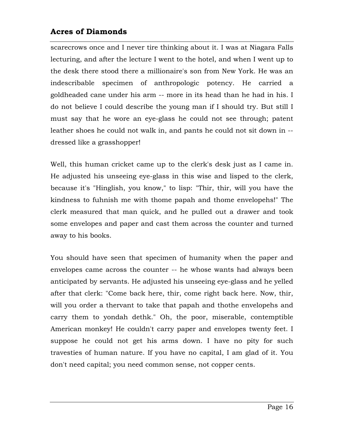scarecrows once and I never tire thinking about it. I was at Niagara Falls lecturing, and after the lecture I went to the hotel, and when I went up to the desk there stood there a millionaire's son from New York. He was an indescribable specimen of anthropologic potency. He carried a goldheaded cane under his arm -- more in its head than he had in his. I do not believe I could describe the young man if I should try. But still I must say that he wore an eye-glass he could not see through; patent leather shoes he could not walk in, and pants he could not sit down in - dressed like a grasshopper!

Well, this human cricket came up to the clerk's desk just as I came in. He adjusted his unseeing eye-glass in this wise and lisped to the clerk, because it's "Hinglish, you know," to lisp: "Thir, thir, will you have the kindness to fuhnish me with thome papah and thome envelopehs!" The clerk measured that man quick, and he pulled out a drawer and took some envelopes and paper and cast them across the counter and turned away to his books.

You should have seen that specimen of humanity when the paper and envelopes came across the counter -- he whose wants had always been anticipated by servants. He adjusted his unseeing eye-glass and he yelled after that clerk: "Come back here, thir, come right back here. Now, thir, will you order a thervant to take that papah and thothe envelopehs and carry them to yondah dethk." Oh, the poor, miserable, contemptible American monkey! He couldn't carry paper and envelopes twenty feet. I suppose he could not get his arms down. I have no pity for such travesties of human nature. If you have no capital, I am glad of it. You don't need capital; you need common sense, not copper cents.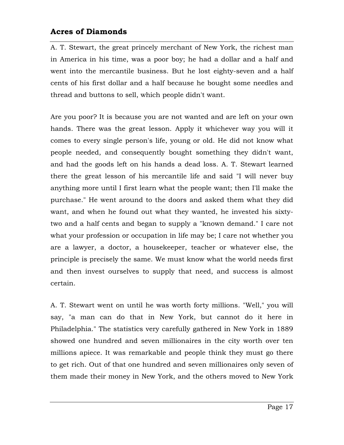A. T. Stewart, the great princely merchant of New York, the richest man in America in his time, was a poor boy; he had a dollar and a half and went into the mercantile business. But he lost eighty-seven and a half cents of his first dollar and a half because he bought some needles and thread and buttons to sell, which people didn't want.

Are you poor? It is because you are not wanted and are left on your own hands. There was the great lesson. Apply it whichever way you will it comes to every single person's life, young or old. He did not know what people needed, and consequently bought something they didn't want, and had the goods left on his hands a dead loss. A. T. Stewart learned there the great lesson of his mercantile life and said "I will never buy anything more until I first learn what the people want; then I'll make the purchase." He went around to the doors and asked them what they did want, and when he found out what they wanted, he invested his sixtytwo and a half cents and began to supply a "known demand." I care not what your profession or occupation in life may be; I care not whether you are a lawyer, a doctor, a housekeeper, teacher or whatever else, the principle is precisely the same. We must know what the world needs first and then invest ourselves to supply that need, and success is almost certain.

A. T. Stewart went on until he was worth forty millions. "Well," you will say, "a man can do that in New York, but cannot do it here in Philadelphia." The statistics very carefully gathered in New York in 1889 showed one hundred and seven millionaires in the city worth over ten millions apiece. It was remarkable and people think they must go there to get rich. Out of that one hundred and seven millionaires only seven of them made their money in New York, and the others moved to New York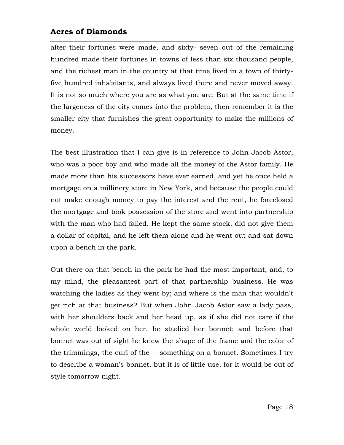after their fortunes were made, and sixty- seven out of the remaining hundred made their fortunes in towns of less than six thousand people, and the richest man in the country at that time lived in a town of thirtyfive hundred inhabitants, and always lived there and never moved away. It is not so much where you are as what you are. But at the same time if the largeness of the city comes into the problem, then remember it is the smaller city that furnishes the great opportunity to make the millions of money.

The best illustration that I can give is in reference to John Jacob Astor, who was a poor boy and who made all the money of the Astor family. He made more than his successors have ever earned, and yet he once held a mortgage on a millinery store in New York, and because the people could not make enough money to pay the interest and the rent, he foreclosed the mortgage and took possession of the store and went into partnership with the man who had failed. He kept the same stock, did not give them a dollar of capital, and he left them alone and he went out and sat down upon a bench in the park.

Out there on that bench in the park he had the most important, and, to my mind, the pleasantest part of that partnership business. He was watching the ladies as they went by; and where is the man that wouldn't get rich at that business? But when John Jacob Astor saw a lady pass, with her shoulders back and her head up, as if she did not care if the whole world looked on her, he studied her bonnet; and before that bonnet was out of sight he knew the shape of the frame and the color of the trimmings, the curl of the -- something on a bonnet. Sometimes I try to describe a woman's bonnet, but it is of little use, for it would be out of style tomorrow night.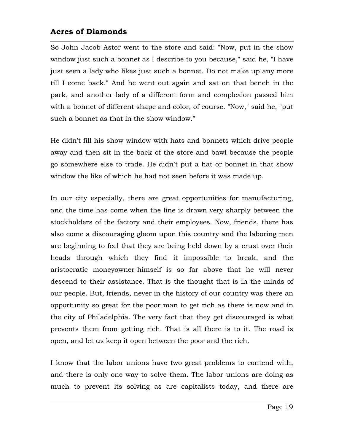So John Jacob Astor went to the store and said: "Now, put in the show window just such a bonnet as I describe to you because," said he, "I have just seen a lady who likes just such a bonnet. Do not make up any more till I come back." And he went out again and sat on that bench in the park, and another lady of a different form and complexion passed him with a bonnet of different shape and color, of course. "Now," said he, "put such a bonnet as that in the show window."

He didn't fill his show window with hats and bonnets which drive people away and then sit in the back of the store and bawl because the people go somewhere else to trade. He didn't put a hat or bonnet in that show window the like of which he had not seen before it was made up.

In our city especially, there are great opportunities for manufacturing, and the time has come when the line is drawn very sharply between the stockholders of the factory and their employees. Now, friends, there has also come a discouraging gloom upon this country and the laboring men are beginning to feel that they are being held down by a crust over their heads through which they find it impossible to break, and the aristocratic moneyowner-himself is so far above that he will never descend to their assistance. That is the thought that is in the minds of our people. But, friends, never in the history of our country was there an opportunity so great for the poor man to get rich as there is now and in the city of Philadelphia. The very fact that they get discouraged is what prevents them from getting rich. That is all there is to it. The road is open, and let us keep it open between the poor and the rich.

I know that the labor unions have two great problems to contend with, and there is only one way to solve them. The labor unions are doing as much to prevent its solving as are capitalists today, and there are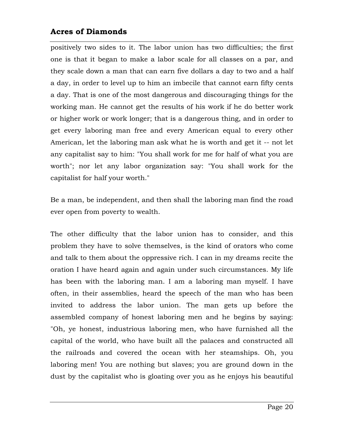positively two sides to it. The labor union has two difficulties; the first one is that it began to make a labor scale for all classes on a par, and they scale down a man that can earn five dollars a day to two and a half a day, in order to level up to him an imbecile that cannot earn fifty cents a day. That is one of the most dangerous and discouraging things for the working man. He cannot get the results of his work if he do better work or higher work or work longer; that is a dangerous thing, and in order to get every laboring man free and every American equal to every other American, let the laboring man ask what he is worth and get it -- not let any capitalist say to him: "You shall work for me for half of what you are worth"; nor let any labor organization say: "You shall work for the capitalist for half your worth."

Be a man, be independent, and then shall the laboring man find the road ever open from poverty to wealth.

The other difficulty that the labor union has to consider, and this problem they have to solve themselves, is the kind of orators who come and talk to them about the oppressive rich. I can in my dreams recite the oration I have heard again and again under such circumstances. My life has been with the laboring man. I am a laboring man myself. I have often, in their assemblies, heard the speech of the man who has been invited to address the labor union. The man gets up before the assembled company of honest laboring men and he begins by saying: "Oh, ye honest, industrious laboring men, who have furnished all the capital of the world, who have built all the palaces and constructed all the railroads and covered the ocean with her steamships. Oh, you laboring men! You are nothing but slaves; you are ground down in the dust by the capitalist who is gloating over you as he enjoys his beautiful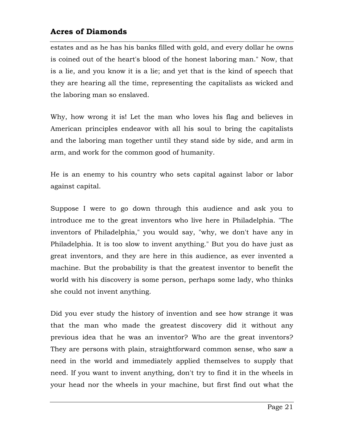estates and as he has his banks filled with gold, and every dollar he owns is coined out of the heart's blood of the honest laboring man." Now, that is a lie, and you know it is a lie; and yet that is the kind of speech that they are hearing all the time, representing the capitalists as wicked and the laboring man so enslaved.

Why, how wrong it is! Let the man who loves his flag and believes in American principles endeavor with all his soul to bring the capitalists and the laboring man together until they stand side by side, and arm in arm, and work for the common good of humanity.

He is an enemy to his country who sets capital against labor or labor against capital.

Suppose I were to go down through this audience and ask you to introduce me to the great inventors who live here in Philadelphia. "The inventors of Philadelphia," you would say, "why, we don't have any in Philadelphia. It is too slow to invent anything." But you do have just as great inventors, and they are here in this audience, as ever invented a machine. But the probability is that the greatest inventor to benefit the world with his discovery is some person, perhaps some lady, who thinks she could not invent anything.

Did you ever study the history of invention and see how strange it was that the man who made the greatest discovery did it without any previous idea that he was an inventor? Who are the great inventors? They are persons with plain, straightforward common sense, who saw a need in the world and immediately applied themselves to supply that need. If you want to invent anything, don't try to find it in the wheels in your head nor the wheels in your machine, but first find out what the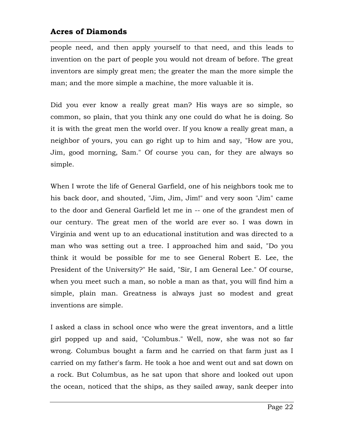people need, and then apply yourself to that need, and this leads to invention on the part of people you would not dream of before. The great inventors are simply great men; the greater the man the more simple the man; and the more simple a machine, the more valuable it is.

Did you ever know a really great man? His ways are so simple, so common, so plain, that you think any one could do what he is doing. So it is with the great men the world over. If you know a really great man, a neighbor of yours, you can go right up to him and say, "How are you, Jim, good morning, Sam." Of course you can, for they are always so simple.

When I wrote the life of General Garfield, one of his neighbors took me to his back door, and shouted, "Jim, Jim, Jim!" and very soon "Jim" came to the door and General Garfield let me in -- one of the grandest men of our century. The great men of the world are ever so. I was down in Virginia and went up to an educational institution and was directed to a man who was setting out a tree. I approached him and said, "Do you think it would be possible for me to see General Robert E. Lee, the President of the University?" He said, "Sir, I am General Lee." Of course, when you meet such a man, so noble a man as that, you will find him a simple, plain man. Greatness is always just so modest and great inventions are simple.

I asked a class in school once who were the great inventors, and a little girl popped up and said, "Columbus." Well, now, she was not so far wrong. Columbus bought a farm and he carried on that farm just as I carried on my father's farm. He took a hoe and went out and sat down on a rock. But Columbus, as he sat upon that shore and looked out upon the ocean, noticed that the ships, as they sailed away, sank deeper into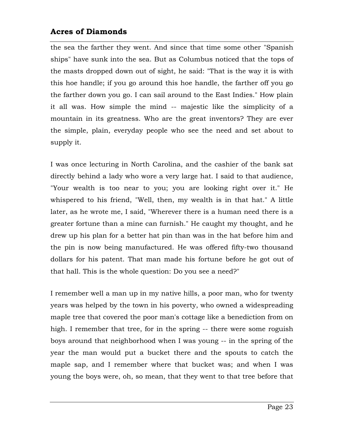the sea the farther they went. And since that time some other "Spanish ships" have sunk into the sea. But as Columbus noticed that the tops of the masts dropped down out of sight, he said: "That is the way it is with this hoe handle; if you go around this hoe handle, the farther off you go the farther down you go. I can sail around to the East Indies." How plain it all was. How simple the mind -- majestic like the simplicity of a mountain in its greatness. Who are the great inventors? They are ever the simple, plain, everyday people who see the need and set about to supply it.

I was once lecturing in North Carolina, and the cashier of the bank sat directly behind a lady who wore a very large hat. I said to that audience, "Your wealth is too near to you; you are looking right over it." He whispered to his friend, "Well, then, my wealth is in that hat." A little later, as he wrote me, I said, "Wherever there is a human need there is a greater fortune than a mine can furnish." He caught my thought, and he drew up his plan for a better hat pin than was in the hat before him and the pin is now being manufactured. He was offered fifty-two thousand dollars for his patent. That man made his fortune before he got out of that hall. This is the whole question: Do you see a need?"

I remember well a man up in my native hills, a poor man, who for twenty years was helped by the town in his poverty, who owned a widespreading maple tree that covered the poor man's cottage like a benediction from on high. I remember that tree, for in the spring -- there were some roguish boys around that neighborhood when I was young -- in the spring of the year the man would put a bucket there and the spouts to catch the maple sap, and I remember where that bucket was; and when I was young the boys were, oh, so mean, that they went to that tree before that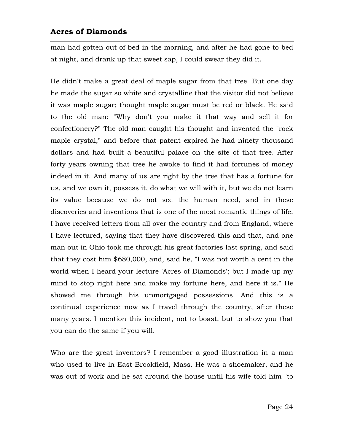man had gotten out of bed in the morning, and after he had gone to bed at night, and drank up that sweet sap, I could swear they did it.

He didn't make a great deal of maple sugar from that tree. But one day he made the sugar so white and crystalline that the visitor did not believe it was maple sugar; thought maple sugar must be red or black. He said to the old man: "Why don't you make it that way and sell it for confectionery?" The old man caught his thought and invented the "rock maple crystal," and before that patent expired he had ninety thousand dollars and had built a beautiful palace on the site of that tree. After forty years owning that tree he awoke to find it had fortunes of money indeed in it. And many of us are right by the tree that has a fortune for us, and we own it, possess it, do what we will with it, but we do not learn its value because we do not see the human need, and in these discoveries and inventions that is one of the most romantic things of life. I have received letters from all over the country and from England, where I have lectured, saying that they have discovered this and that, and one man out in Ohio took me through his great factories last spring, and said that they cost him \$680,000, and, said he, "I was not worth a cent in the world when I heard your lecture 'Acres of Diamonds'; but I made up my mind to stop right here and make my fortune here, and here it is." He showed me through his unmortgaged possessions. And this is a continual experience now as I travel through the country, after these many years. I mention this incident, not to boast, but to show you that you can do the same if you will.

Who are the great inventors? I remember a good illustration in a man who used to live in East Brookfield, Mass. He was a shoemaker, and he was out of work and he sat around the house until his wife told him "to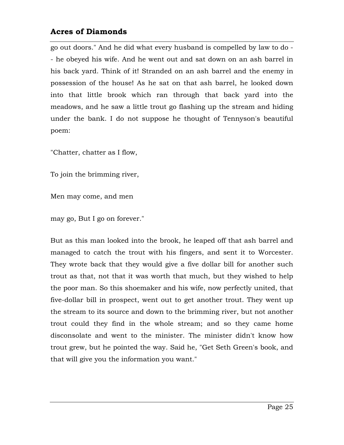go out doors." And he did what every husband is compelled by law to do - - he obeyed his wife. And he went out and sat down on an ash barrel in his back yard. Think of it! Stranded on an ash barrel and the enemy in possession of the house! As he sat on that ash barrel, he looked down into that little brook which ran through that back yard into the meadows, and he saw a little trout go flashing up the stream and hiding under the bank. I do not suppose he thought of Tennyson's beautiful poem:

"Chatter, chatter as I flow,

To join the brimming river,

Men may come, and men

may go, But I go on forever."

But as this man looked into the brook, he leaped off that ash barrel and managed to catch the trout with his fingers, and sent it to Worcester. They wrote back that they would give a five dollar bill for another such trout as that, not that it was worth that much, but they wished to help the poor man. So this shoemaker and his wife, now perfectly united, that five-dollar bill in prospect, went out to get another trout. They went up the stream to its source and down to the brimming river, but not another trout could they find in the whole stream; and so they came home disconsolate and went to the minister. The minister didn't know how trout grew, but he pointed the way. Said he, "Get Seth Green's book, and that will give you the information you want."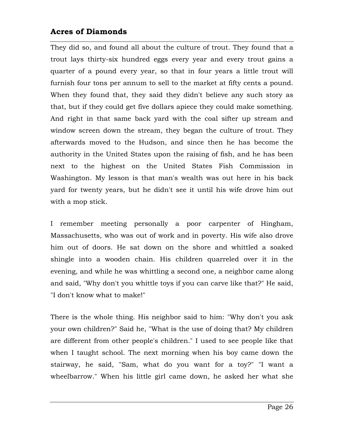They did so, and found all about the culture of trout. They found that a trout lays thirty-six hundred eggs every year and every trout gains a quarter of a pound every year, so that in four years a little trout will furnish four tons per annum to sell to the market at fifty cents a pound. When they found that, they said they didn't believe any such story as that, but if they could get five dollars apiece they could make something. And right in that same back yard with the coal sifter up stream and window screen down the stream, they began the culture of trout. They afterwards moved to the Hudson, and since then he has become the authority in the United States upon the raising of fish, and he has been next to the highest on the United States Fish Commission in Washington. My lesson is that man's wealth was out here in his back yard for twenty years, but he didn't see it until his wife drove him out with a mop stick.

I remember meeting personally a poor carpenter of Hingham, Massachusetts, who was out of work and in poverty. His wife also drove him out of doors. He sat down on the shore and whittled a soaked shingle into a wooden chain. His children quarreled over it in the evening, and while he was whittling a second one, a neighbor came along and said, "Why don't you whittle toys if you can carve like that?" He said, "I don't know what to make!"

There is the whole thing. His neighbor said to him: "Why don't you ask your own children?" Said he, "What is the use of doing that? My children are different from other people's children." I used to see people like that when I taught school. The next morning when his boy came down the stairway, he said, "Sam, what do you want for a toy?" "I want a wheelbarrow." When his little girl came down, he asked her what she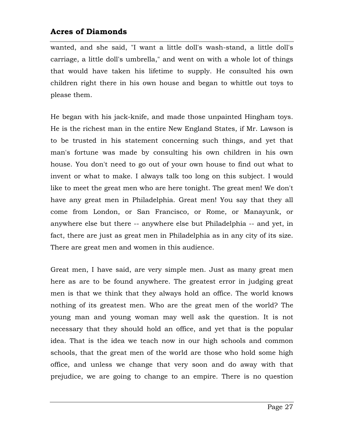wanted, and she said, "I want a little doll's wash-stand, a little doll's carriage, a little doll's umbrella," and went on with a whole lot of things that would have taken his lifetime to supply. He consulted his own children right there in his own house and began to whittle out toys to please them.

He began with his jack-knife, and made those unpainted Hingham toys. He is the richest man in the entire New England States, if Mr. Lawson is to be trusted in his statement concerning such things, and yet that man's fortune was made by consulting his own children in his own house. You don't need to go out of your own house to find out what to invent or what to make. I always talk too long on this subject. I would like to meet the great men who are here tonight. The great men! We don't have any great men in Philadelphia. Great men! You say that they all come from London, or San Francisco, or Rome, or Manayunk, or anywhere else but there -- anywhere else but Philadelphia -- and yet, in fact, there are just as great men in Philadelphia as in any city of its size. There are great men and women in this audience.

Great men, I have said, are very simple men. Just as many great men here as are to be found anywhere. The greatest error in judging great men is that we think that they always hold an office. The world knows nothing of its greatest men. Who are the great men of the world? The young man and young woman may well ask the question. It is not necessary that they should hold an office, and yet that is the popular idea. That is the idea we teach now in our high schools and common schools, that the great men of the world are those who hold some high office, and unless we change that very soon and do away with that prejudice, we are going to change to an empire. There is no question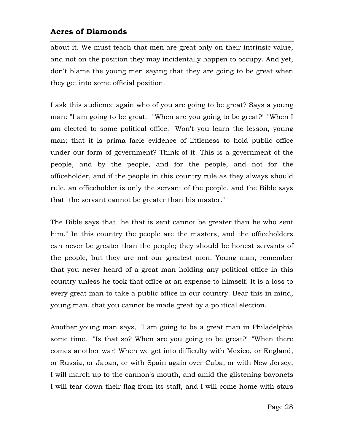about it. We must teach that men are great only on their intrinsic value, and not on the position they may incidentally happen to occupy. And yet, don't blame the young men saying that they are going to be great when they get into some official position.

I ask this audience again who of you are going to be great? Says a young man: "I am going to be great." "When are you going to be great?" "When I am elected to some political office." Won't you learn the lesson, young man; that it is prima facie evidence of littleness to hold public office under our form of government? Think of it. This is a government of the people, and by the people, and for the people, and not for the officeholder, and if the people in this country rule as they always should rule, an officeholder is only the servant of the people, and the Bible says that "the servant cannot be greater than his master."

The Bible says that "he that is sent cannot be greater than he who sent him." In this country the people are the masters, and the officeholders can never be greater than the people; they should be honest servants of the people, but they are not our greatest men. Young man, remember that you never heard of a great man holding any political office in this country unless he took that office at an expense to himself. It is a loss to every great man to take a public office in our country. Bear this in mind, young man, that you cannot be made great by a political election.

Another young man says, "I am going to be a great man in Philadelphia some time." "Is that so? When are you going to be great?" "When there comes another war! When we get into difficulty with Mexico, or England, or Russia, or Japan, or with Spain again over Cuba, or with New Jersey, I will march up to the cannon's mouth, and amid the glistening bayonets I will tear down their flag from its staff, and I will come home with stars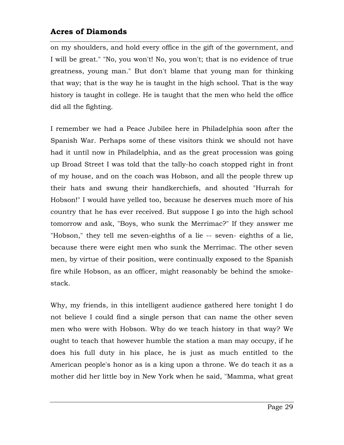on my shoulders, and hold every office in the gift of the government, and I will be great." "No, you won't! No, you won't; that is no evidence of true greatness, young man." But don't blame that young man for thinking that way; that is the way he is taught in the high school. That is the way history is taught in college. He is taught that the men who held the office did all the fighting.

I remember we had a Peace Jubilee here in Philadelphia soon after the Spanish War. Perhaps some of these visitors think we should not have had it until now in Philadelphia, and as the great procession was going up Broad Street I was told that the tally-ho coach stopped right in front of my house, and on the coach was Hobson, and all the people threw up their hats and swung their handkerchiefs, and shouted "Hurrah for Hobson!" I would have yelled too, because he deserves much more of his country that he has ever received. But suppose I go into the high school tomorrow and ask, "Boys, who sunk the Merrimac?" If they answer me "Hobson," they tell me seven-eighths of a lie -- seven- eighths of a lie, because there were eight men who sunk the Merrimac. The other seven men, by virtue of their position, were continually exposed to the Spanish fire while Hobson, as an officer, might reasonably be behind the smokestack.

Why, my friends, in this intelligent audience gathered here tonight I do not believe I could find a single person that can name the other seven men who were with Hobson. Why do we teach history in that way? We ought to teach that however humble the station a man may occupy, if he does his full duty in his place, he is just as much entitled to the American people's honor as is a king upon a throne. We do teach it as a mother did her little boy in New York when he said, "Mamma, what great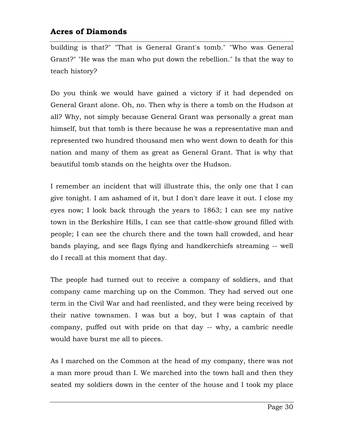building is that?" "That is General Grant's tomb." "Who was General Grant?" "He was the man who put down the rebellion." Is that the way to teach history?

Do you think we would have gained a victory if it had depended on General Grant alone. Oh, no. Then why is there a tomb on the Hudson at all? Why, not simply because General Grant was personally a great man himself, but that tomb is there because he was a representative man and represented two hundred thousand men who went down to death for this nation and many of them as great as General Grant. That is why that beautiful tomb stands on the heights over the Hudson.

I remember an incident that will illustrate this, the only one that I can give tonight. I am ashamed of it, but I don't dare leave it out. I close my eyes now; I look back through the years to 1863; I can see my native town in the Berkshire Hills, I can see that cattle-show ground filled with people; I can see the church there and the town hall crowded, and hear bands playing, and see flags flying and handkerchiefs streaming -- well do I recall at this moment that day.

The people had turned out to receive a company of soldiers, and that company came marching up on the Common. They had served out one term in the Civil War and had reenlisted, and they were being received by their native townsmen. I was but a boy, but I was captain of that company, puffed out with pride on that day -- why, a cambric needle would have burst me all to pieces.

As I marched on the Common at the head of my company, there was not a man more proud than I. We marched into the town hall and then they seated my soldiers down in the center of the house and I took my place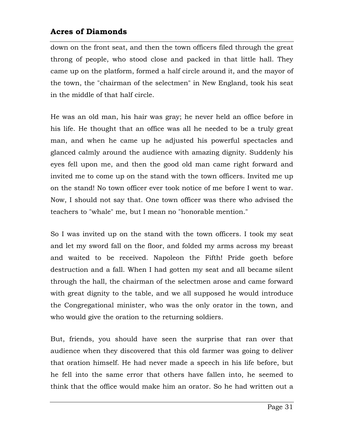down on the front seat, and then the town officers filed through the great throng of people, who stood close and packed in that little hall. They came up on the platform, formed a half circle around it, and the mayor of the town, the "chairman of the selectmen" in New England, took his seat in the middle of that half circle.

He was an old man, his hair was gray; he never held an office before in his life. He thought that an office was all he needed to be a truly great man, and when he came up he adjusted his powerful spectacles and glanced calmly around the audience with amazing dignity. Suddenly his eyes fell upon me, and then the good old man came right forward and invited me to come up on the stand with the town officers. Invited me up on the stand! No town officer ever took notice of me before I went to war. Now, I should not say that. One town officer was there who advised the teachers to "whale" me, but I mean no "honorable mention."

So I was invited up on the stand with the town officers. I took my seat and let my sword fall on the floor, and folded my arms across my breast and waited to be received. Napoleon the Fifth! Pride goeth before destruction and a fall. When I had gotten my seat and all became silent through the hall, the chairman of the selectmen arose and came forward with great dignity to the table, and we all supposed he would introduce the Congregational minister, who was the only orator in the town, and who would give the oration to the returning soldiers.

But, friends, you should have seen the surprise that ran over that audience when they discovered that this old farmer was going to deliver that oration himself. He had never made a speech in his life before, but he fell into the same error that others have fallen into, he seemed to think that the office would make him an orator. So he had written out a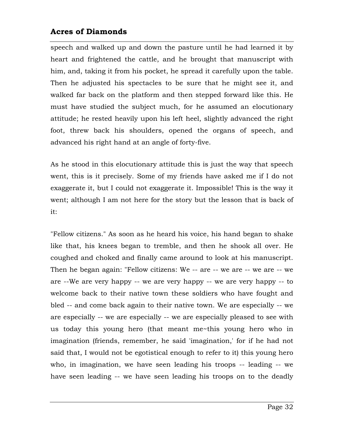speech and walked up and down the pasture until he had learned it by heart and frightened the cattle, and he brought that manuscript with him, and, taking it from his pocket, he spread it carefully upon the table. Then he adjusted his spectacles to be sure that he might see it, and walked far back on the platform and then stepped forward like this. He must have studied the subject much, for he assumed an elocutionary attitude; he rested heavily upon his left heel, slightly advanced the right foot, threw back his shoulders, opened the organs of speech, and advanced his right hand at an angle of forty-five.

As he stood in this elocutionary attitude this is just the way that speech went, this is it precisely. Some of my friends have asked me if I do not exaggerate it, but I could not exaggerate it. Impossible! This is the way it went; although I am not here for the story but the lesson that is back of it:

"Fellow citizens." As soon as he heard his voice, his hand began to shake like that, his knees began to tremble, and then he shook all over. He coughed and choked and finally came around to look at his manuscript. Then he began again: "Fellow citizens: We -- are -- we are -- we are -- we are --We are very happy -- we are very happy -- we are very happy -- to welcome back to their native town these soldiers who have fought and bled -- and come back again to their native town. We are especially -- we are especially -- we are especially -- we are especially pleased to see with us today this young hero (that meant me~this young hero who in imagination (friends, remember, he said 'imagination,' for if he had not said that, I would not be egotistical enough to refer to it) this young hero who, in imagination, we have seen leading his troops -- leading -- we have seen leading -- we have seen leading his troops on to the deadly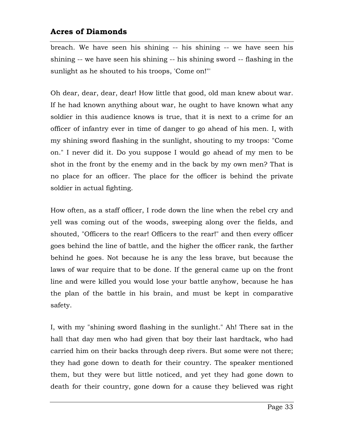breach. We have seen his shining -- his shining -- we have seen his shining -- we have seen his shining -- his shining sword -- flashing in the sunlight as he shouted to his troops, 'Come on!"'

Oh dear, dear, dear, dear! How little that good, old man knew about war. If he had known anything about war, he ought to have known what any soldier in this audience knows is true, that it is next to a crime for an officer of infantry ever in time of danger to go ahead of his men. I, with my shining sword flashing in the sunlight, shouting to my troops: "Come on." I never did it. Do you suppose I would go ahead of my men to be shot in the front by the enemy and in the back by my own men? That is no place for an officer. The place for the officer is behind the private soldier in actual fighting.

How often, as a staff officer, I rode down the line when the rebel cry and yell was coming out of the woods, sweeping along over the fields, and shouted, "Officers to the rear! Officers to the rear!" and then every officer goes behind the line of battle, and the higher the officer rank, the farther behind he goes. Not because he is any the less brave, but because the laws of war require that to be done. If the general came up on the front line and were killed you would lose your battle anyhow, because he has the plan of the battle in his brain, and must be kept in comparative safety.

I, with my "shining sword flashing in the sunlight." Ah! There sat in the hall that day men who had given that boy their last hardtack, who had carried him on their backs through deep rivers. But some were not there; they had gone down to death for their country. The speaker mentioned them, but they were but little noticed, and yet they had gone down to death for their country, gone down for a cause they believed was right